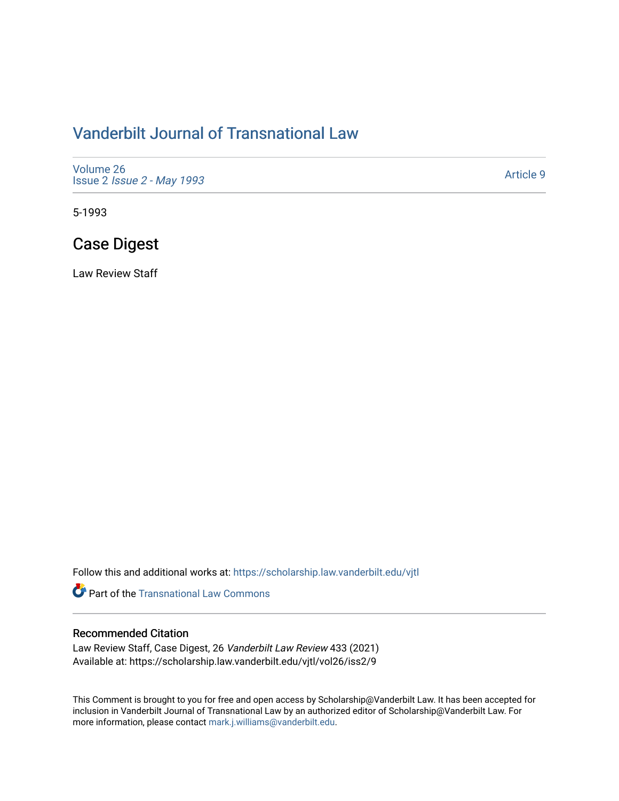# [Vanderbilt Journal of Transnational Law](https://scholarship.law.vanderbilt.edu/vjtl)

[Volume 26](https://scholarship.law.vanderbilt.edu/vjtl/vol26) Issue 2 [Issue 2 - May 1993](https://scholarship.law.vanderbilt.edu/vjtl/vol26/iss2) 

[Article 9](https://scholarship.law.vanderbilt.edu/vjtl/vol26/iss2/9) 

5-1993

# Case Digest

Law Review Staff

Follow this and additional works at: [https://scholarship.law.vanderbilt.edu/vjtl](https://scholarship.law.vanderbilt.edu/vjtl?utm_source=scholarship.law.vanderbilt.edu%2Fvjtl%2Fvol26%2Fiss2%2F9&utm_medium=PDF&utm_campaign=PDFCoverPages) 

**Part of the [Transnational Law Commons](http://network.bepress.com/hgg/discipline/1123?utm_source=scholarship.law.vanderbilt.edu%2Fvjtl%2Fvol26%2Fiss2%2F9&utm_medium=PDF&utm_campaign=PDFCoverPages)** 

## Recommended Citation

Law Review Staff, Case Digest, 26 Vanderbilt Law Review 433 (2021) Available at: https://scholarship.law.vanderbilt.edu/vjtl/vol26/iss2/9

This Comment is brought to you for free and open access by Scholarship@Vanderbilt Law. It has been accepted for inclusion in Vanderbilt Journal of Transnational Law by an authorized editor of Scholarship@Vanderbilt Law. For more information, please contact [mark.j.williams@vanderbilt.edu](mailto:mark.j.williams@vanderbilt.edu).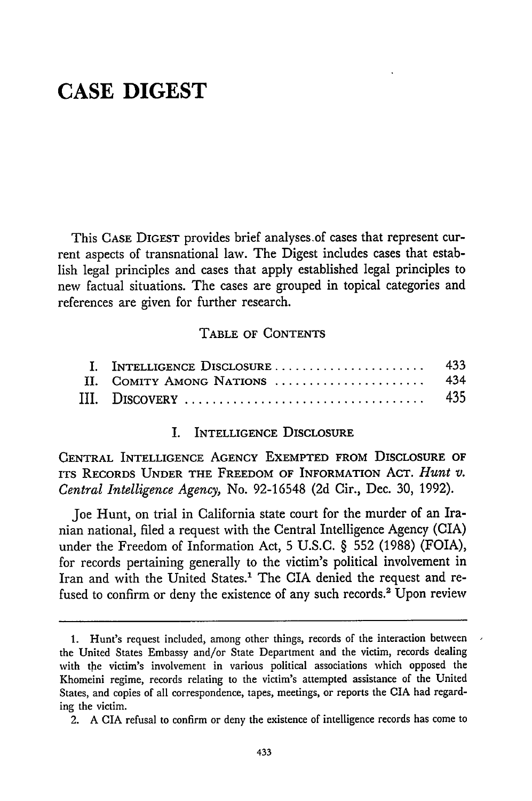# **CASE DIGEST**

This **CASE** DIGEST provides brief analyses.of cases that represent current aspects of transnational law. The Digest includes cases that establish legal principles and cases that apply established legal principles to new factual situations. The cases are grouped in topical categories and references are given for further research.

### **TABLE OF CONTENTS**

### I. INTELLIGENCE DISCLOSURE

**CENTRAL** INTELLIGENCE **AGENCY EXEMPTED** FROM **DISCLOSURE** OF **ITS RECORDS UNDER THE FREEDOM** OF INFORMATION **ACT.** *Hunt v. Central Intelligence Agency,* No. 92-16548 (2d Cir., Dec. **30,** 1992).

Joe Hunt, on trial in California state court for the murder of an Iranian national, filed a request with the Central Intelligence Agency (CIA) under the Freedom of Information Act, **5** U.S.C. § **552** (1988) (FOIA), for records pertaining generally to the victim's political involvement in Iran and with the United States.' The CIA denied the request and refused to confirm or deny the existence of any such records.<sup>2</sup> Upon review

<sup>1.</sup> Hunt's request included, among other things, records of the interaction between the United States Embassy and/or State Department and the victim, records dealing with the victim's involvement in various political associations which opposed the Khomeini regime, records relating to the victim's attempted assistance of the United States, and copies of all correspondence, tapes, meetings, or reports the CIA had regarding the victim.

<sup>2.</sup> A CIA refusal to confirm or deny the existence of intelligence records has come to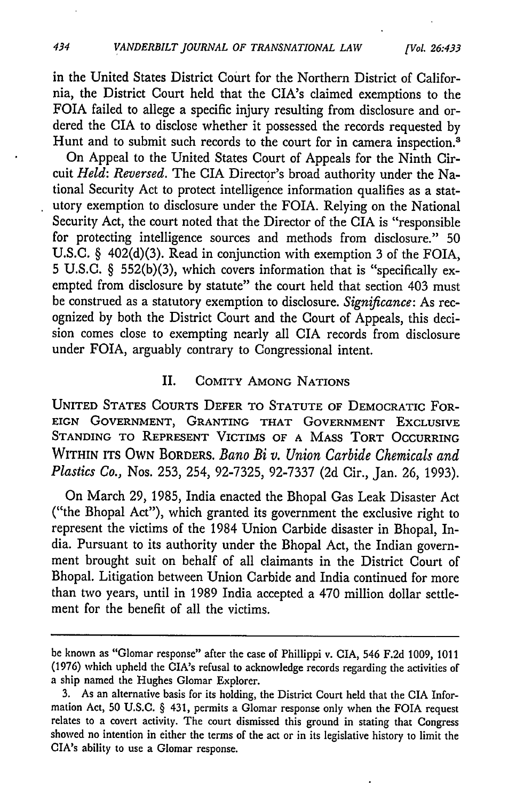in the United States District Court for the Northern District of California, the District Court held that the CIA's claimed exemptions to the FOIA failed to allege a specific injury resulting from disclosure and ordered the CIA to disclose whether it possessed the records requested by Hunt and to submit such records to the court for in camera inspection.<sup>3</sup>

On Appeal to the United States Court of Appeals for the Ninth Circuit *Held: Reversed.* The CIA Director's broad authority under the National Security Act to protect intelligence information qualifies as a statutory exemption to disclosure under the FOIA. Relying on the National Security Act, the court noted that the Director of the CIA is "responsible for protecting intelligence sources and methods from disclosure." 50 U.S.C. § 402(d)(3). Read in conjunction with exemption 3 of the FOIA, 5 U.S.C. § 552(b)(3), which covers information that is "specifically exempted from disclosure by statute" the court held that section 403 must be construed as a statutory exemption to disclosure. *Significance:* As recognized by both the District Court and the Court of Appeals, this decision comes close to exempting nearly all CIA records from disclosure under FOIA, arguably contrary to Congressional intent.

### II. COMITY **AMONG NATIONS**

**UNITED STATES** COURTS DEFER TO **STATUTE** OF DEMOCRATIC FOR-**EIGN GOVERNMENT,** GRANTING THAT **GOVERNMENT EXCLUSIVE STANDING** TO REPRESENT VICTIMS OF **A MASS** TORT OCCURRING WITHIN **ITS** OWN BORDERS. *Bano Bi v. Union Carbide Chemicals and Plastics Co.,* Nos. 253, 254, 92-7325, 92-7337 (2d Cir., Jan. 26, 1993).

On March 29, 1985, India enacted the Bhopal Gas Leak Disaster Act ("the Bhopal Act"), which granted its government the exclusive right to represent the victims of the 1984 Union Carbide disaster in Bhopal, India. Pursuant to its authority under the Bhopal Act, the Indian government brought suit on behalf of all claimants in the District Court of Bhopal. Litigation between Union Carbide and India continued for more than two years, until in 1989 India accepted a 470 million dollar settlement for the benefit of all the victims.

434

be known as "Glomar response" after the case of Phillippi v. CIA, 546 F.2d 1009, 1011 (1976) which upheld the CIA's refusal to acknowledge records regarding the activities of a ship named the Hughes Glomar Explorer.

<sup>3.</sup> As an alternative basis for its holding, the District Court held that the CIA Information Act, 50 U.S.C. § 431, permits a Glomar response only when the FOIA request relates to a covert activity. The court dismissed this ground in stating that Congress showed no intention in either the terms of the act or in its legislative history to limit the CIA's ability to use a Glomar response.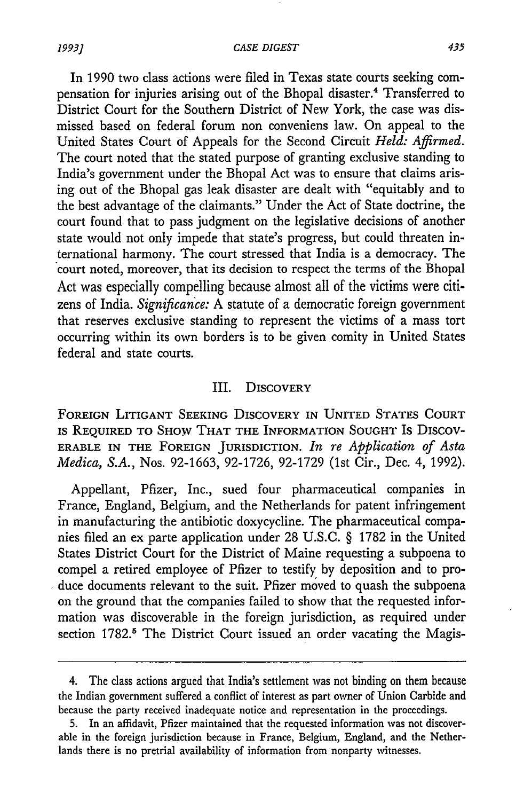In 1990 two class actions were filed in Texas state courts seeking compensation for injuries arising out of the Bhopal disaster.4 Transferred to District Court for the Southern District of New York, the case was dismissed based on federal forum non conveniens law. On appeal to the United States Court of Appeals for the Second Circuit *Held: Affirmed.* The court noted that the stated purpose of granting exclusive standing to India's government under the Bhopal Act was to ensure that claims arising out of the Bhopal gas leak disaster are dealt with "equitably and to the best advantage of the claimants." Under the Act of State doctrine, the court found that to pass judgment on the legislative decisions of another state would not only impede that state's progress, but could threaten international harmony. The court stressed that India is a democracy. The court noted, moreover, that its decision to respect the terms of the Bhopal Act was especially compelling because almost all of the victims were citizens of India. *Significance:* A statute of a democratic foreign government that reserves exclusive standing to represent the victims of a mass tort occurring within its own borders is to be given comity in United States federal and state courts.

#### III. DISCOVERY

**FOREIGN** LITIGANT **SEEKING** DISCOVERY **IN UNITED STATES COURT IS REQUIRED** TO SHOW THAT THE INFORMATION **SOUGHT** Is DISCOV-ERABLE IN THE FOREIGN **JURISDICTION.** *In re Application of Asta Medica, S.A.,* Nos. 92-1663, 92-1726, 92-1729 (1st Cir., Dec. 4, 1992).

Appellant, Pfizer, Inc., sued four pharmaceutical companies in France, England, Belgium, and the Netherlands for patent infringement in manufacturing the antibiotic doxycycline. The pharmaceutical companies filed an ex parte application under 28 U.S.C. § 1782 in the United States District Court for the District of Maine requesting a subpoena to compel a retired employee of Pfizer to testify by deposition and to produce documents relevant to the suit. Pfizer moved to quash the subpoena on the ground that the companies failed to show that the requested information was discoverable in the foreign jurisdiction, as required under section 1782.<sup>5</sup> The District Court issued an order vacating the Magis-

<sup>4.</sup> The class actions argued that India's settlement was not binding on them because the Indian government suffered a conflict of interest as part owner of Union Carbide and because the party received inadequate notice and representation in the proceedings.

<sup>5.</sup> In an affidavit, Pfizer maintained that the requested information was not discoverable in the foreign jurisdiction because in France, Belgium, England, and the Netherlands there is no pretrial availability of information from nonparty witnesses.